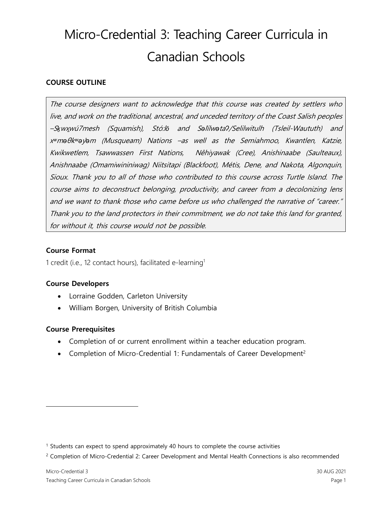### **COURSE OUTLINE**

The course designers want to acknowledge that this course was created by settlers who live, and work on the traditional, ancestral, and unceded territory of the Coast Salish peoples –S*ḵ*w<sup>x</sup>*̱*wú7mesh (Squamish), Stó:l*ō* and S*ə*l*̓*ílw*ə*ta*ʔ*/Selilwitulh (Tsleil-Waututh) and <sup>x</sup>*ʷ*m*ə*θk*ʷə*y*̓ə*m (Musqueam) Nations –as well as the Semiahmoo, Kwantlen, Katzie, Kwikwetlem, Tsawwassen First Nations, Nêhiyawak (Cree), Anishinaabe (Saulteaux), Anishnaabe (Omamiwininiwag) Niitsitapi (Blackfoot), Métis, Dene, and Nakota, Algonquin, Sioux. Thank you to all of those who contributed to this course across Turtle Island. The course aims to deconstruct belonging, productivity, and career from a decolonizing lens and we want to thank those who came before us who challenged the narrative of "career." Thank you to the land protectors in their commitment, we do not take this land for granted, for without it, this course would not be possible.

#### **Course Format**

1 credit (i.e., 12 contact hours), facilitated e-learning<sup>1</sup>

#### **Course Developers**

- Lorraine Godden, Carleton University
- William Borgen, University of British Columbia

#### **Course Prerequisites**

- Completion of or current enrollment within a teacher education program.
- Completion of Micro-Credential 1: Fundamentals of Career Development<sup>2</sup>

<sup>&</sup>lt;sup>1</sup> Students can expect to spend approximately 40 hours to complete the course activities

<sup>&</sup>lt;sup>2</sup> Completion of Micro-Credential 2: Career Development and Mental Health Connections is also recommended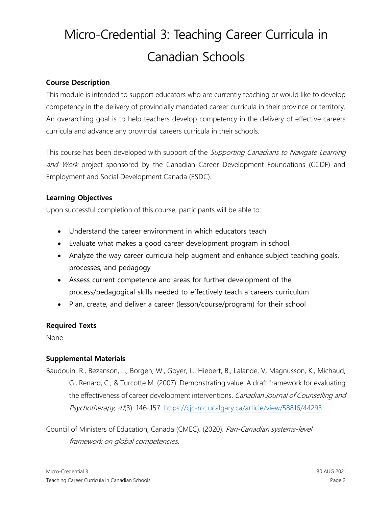### **Course Description**

This module is intended to support educators who are currently teaching or would like to develop competency in the delivery of provincially mandated career curricula in their province or territory. An overarching goal is to help teachers develop competency in the delivery of effective careers curricula and advance any provincial careers curricula in their schools.

This course has been developed with support of the Supporting Canadians to Navigate Learning and Work project sponsored by the Canadian Career Development Foundations (CCDF) and Employment and Social Development Canada (ESDC).

### **Learning Objectives**

Upon successful completion of this course, participants will be able to:

- Understand the career environment in which educators teach
- Evaluate what makes a good career development program in school
- Analyze the way career curricula help augment and enhance subject teaching goals, processes, and pedagogy
- Assess current competence and areas for further development of the process/pedagogical skills needed to effectively teach a careers curriculum
- Plan, create, and deliver a career (lesson/course/program) for their school

#### **Required Texts**

None

### **Supplemental Materials**

Baudouin, R., Bezanson, L., Borgen, W., Goyer, L., Hiebert, B., Lalande, V, Magnusson, K., Michaud, G., Renard, C., & Turcotte M. (2007). Demonstrating value: A draft framework for evaluating the effectiveness of career development interventions. Canadian Journal of Counselling and Psychotherapy, 41(3). 146-157. <https://cjc-rcc.ucalgary.ca/article/view/58816/44293>

Council of Ministers of Education, Canada (CMEC). (2020). Pan-Canadian systems-level framework on global competencies.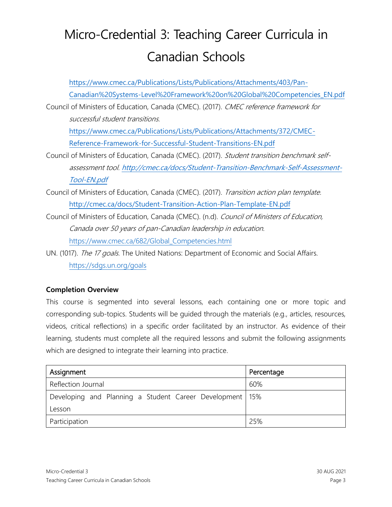[https://www.cmec.ca/Publications/Lists/Publications/Attachments/403/Pan-](https://www.cmec.ca/Publications/Lists/Publications/Attachments/403/Pan-Canadian%20Systems-Level%20Framework%20on%20Global%20Competencies_EN.pdf)[Canadian%20Systems-Level%20Framework%20on%20Global%20Competencies\\_EN.pdf](https://www.cmec.ca/Publications/Lists/Publications/Attachments/403/Pan-Canadian%20Systems-Level%20Framework%20on%20Global%20Competencies_EN.pdf) Council of Ministers of Education, Canada (CMEC). (2017). CMEC reference framework for

successful student transitions.

[https://www.cmec.ca/Publications/Lists/Publications/Attachments/372/CMEC-](https://www.cmec.ca/Publications/Lists/Publications/Attachments/372/CMEC-Reference-Framework-for-Successful-Student-Transitions-EN.pdf)[Reference-Framework-for-Successful-Student-Transitions-EN.pdf](https://www.cmec.ca/Publications/Lists/Publications/Attachments/372/CMEC-Reference-Framework-for-Successful-Student-Transitions-EN.pdf)

- Council of Ministers of Education, Canada (CMEC). (2017). Student transition benchmark selfassessment tool. [http://cmec.ca/docs/Student-Transition-Benchmark-Self-Assessment-](http://cmec.ca/docs/Student-Transition-Benchmark-Self-Assessment-Tool-EN.pdf)[Tool-EN.pdf](http://cmec.ca/docs/Student-Transition-Benchmark-Self-Assessment-Tool-EN.pdf)
- Council of Ministers of Education, Canada (CMEC). (2017). Transition action plan template. <http://cmec.ca/docs/Student-Transition-Action-Plan-Template-EN.pdf>
- Council of Ministers of Education, Canada (CMEC). (n.d). Council of Ministers of Education, Canada over 50 years of pan-Canadian leadership in education. [https://www.cmec.ca/682/Global\\_Competencies.html](https://www.cmec.ca/682/Global_Competencies.html)
- UN. (1017). The 17 goals. The United Nations: Department of Economic and Social Affairs. <https://sdgs.un.org/goals>

## **Completion Overview**

This course is segmented into several lessons, each containing one or more topic and corresponding sub-topics. Students will be guided through the materials (e.g., articles, resources, videos, critical reflections) in a specific order facilitated by an instructor. As evidence of their learning, students must complete all the required lessons and submit the following assignments which are designed to integrate their learning into practice.

| Assignment                                                 | Percentage |
|------------------------------------------------------------|------------|
| Reflection Journal                                         | 60%        |
| Developing and Planning a Student Career Development   15% |            |
| Lesson                                                     |            |
| Participation                                              | 25%        |